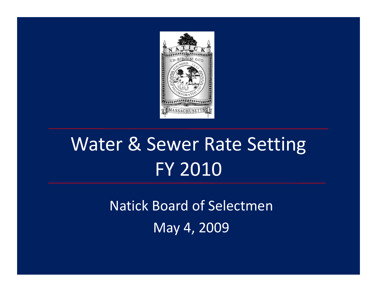

## Water & Sewer Rate Setting FY 2010

Natick Board of Selectmen May 4, 2009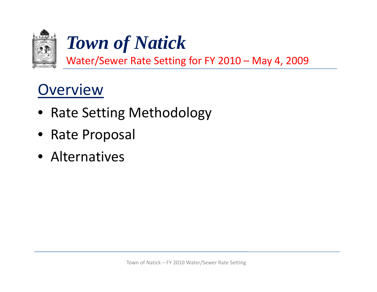

Water/Sewer Rate Setting for FY 2010 – May 4, 2009

### **Overview**

- Rate Setting Methodology
- Rate Proposal
- Alternatives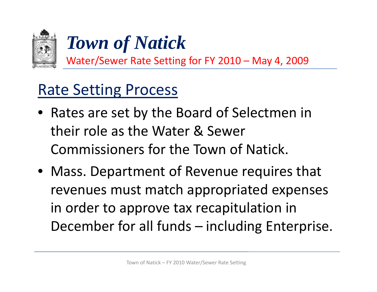

Water/Sewer Rate Setting for FY 2010 – May 4, 2009

### Rate Setting Process

- Rates are set by the Board of Selectmen in their role as the Water & Sewer Commissioners for the Town of Natick.
- Mass. Department of Revenue requires that revenues must match appropriated expenses in order to approve tax recapitulation in December for all funds – including Enterprise.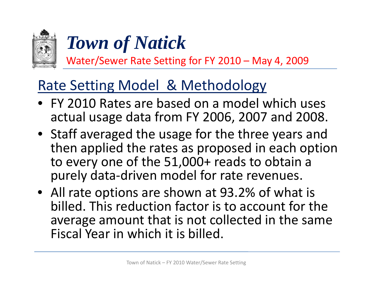

Water/Sewer Rate Setting for FY 2010 – May 4, 2009

### Rate Setting Model & Methodology

- FY 2010 Rates are based on <sup>a</sup> model which uses actual usage data from FY 2006, 2007 and 2008.
- Staff averaged the usage for the three years and then applied the rates as proposed in each option to every one of the 51,000+ reads to obtain a purely data‐driven model for rate revenues.
- All rate options are shown at 93.2% of what is billed. This reduction factor is to account for the average amount that is not collected in the same Fiscal Year in which it is billed.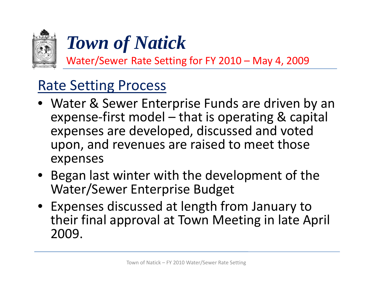

Water/Sewer Rate Setting for FY 2010 – May 4, 2009

### Rate Setting Process

- Water & Sewer Enterprise Funds are driven by an expense‐first model – that is operating & capital expenses are developed, discussed and voted upon, and revenues are raised to meet those expenses
- Began last winter with the development of the Water/Sewer Enterprise Budget
- Expenses discussed at length from January to their final approval at Town Meeting in late April 2009.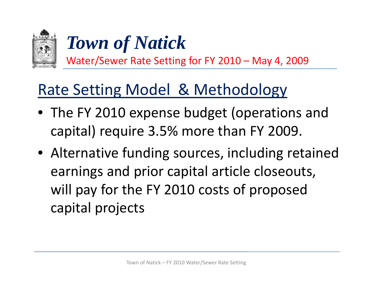

Water/Sewer Rate Setting for FY 2010 – May 4, 2009

### Rate Setting Model & Methodology

- The FY 2010 expense budget (operations and capital) require 3.5% more than FY 2009.
- Alternative funding sources, including retained earnings and prior capital article closeouts, will pay for the FY 2010 costs of proposed capital projects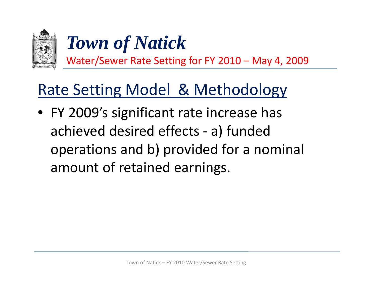

Water/Sewer Rate Setting for FY 2010 – May 4, 2009

### Rate Setting Model & Methodology

• FY 2009's significant rate increase has achieved desired effects - a) funded operations and b) provided for <sup>a</sup> nominal amount of retained earnings.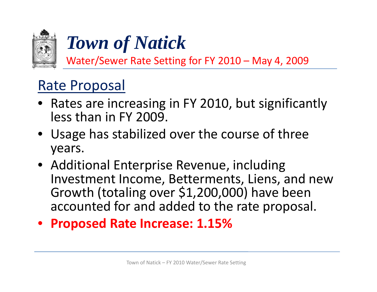

Water/Sewer Rate Setting for FY 2010 – May 4, 2009

### Rate Proposal

- Rates are increasing in FY 2010, but significantly less than in FY 2009.
- Usage has stabilized over the course of three years.
- Additional Enterprise Revenue, including Investment Income, Betterments, Liens, and new Growth (totaling over \$1,200,000) have been accounted for and added to the rate proposal.
- $\bullet$ **Proposed Rate Increase: 1.15%**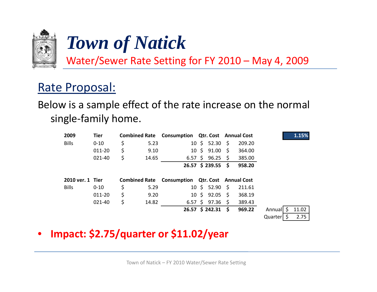

Water/Sewer Rate Setting for FY 2010 – May 4, 2009

### Rate Proposal:

#### Below is <sup>a</sup> sample effect of the rate increase on the normal single‐family home.

| 2009         | Tier             |    |       | <b>Combined Rate Consumption Qtr. Cost Annual Cost</b> |                          |        | 1.15%              |
|--------------|------------------|----|-------|--------------------------------------------------------|--------------------------|--------|--------------------|
| <b>Bills</b> | $0 - 10$         | \$ | 5.23  |                                                        | $10 \div 52.30 \div$     | 209.20 |                    |
|              | 011-20           | \$ | 9.10  |                                                        | $10 \pm 91.00 \pm 1$     | 364.00 |                    |
|              | 021-40           | \$ | 14.65 |                                                        | 6.57 \$ 96.25 \$         | 385.00 |                    |
|              |                  |    |       |                                                        | $26.57 \div 239.55 \div$ | 958.20 |                    |
|              | 2010 ver. 1 Tier |    |       | <b>Combined Rate Consumption Qtr. Cost Annual Cost</b> |                          |        |                    |
| <b>Bills</b> |                  |    |       |                                                        |                          |        |                    |
|              | $0 - 10$         | \$ | 5.29  |                                                        | $10 \div 52.90 \div$     | 211.61 |                    |
|              | 011-20           | \$ | 9.20  |                                                        | $10 \div 92.05 \div$     | 368.19 |                    |
|              | 021-40           | \$ | 14.82 |                                                        | $6.57 \pm 97.36 \pm 5$   | 389.43 |                    |
|              |                  |    |       |                                                        | $26.57$ \$ 242.31 \$     | 969.22 | 11.02<br>Annuall S |

#### •**Impact: \$2.75/quarter or \$11.02/year p \$ /q \$ /y**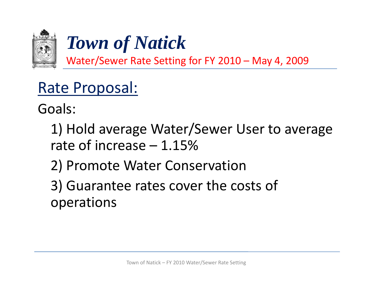

Water/Sewer Rate Setting for FY 2010 – May 4, 2009

### Rate Proposal:

Goals:

1) Hold average Water/Sewer User to average rate of increase – 1.15%

2) Promote Water Conservation

3) Guarantee rates cover the costs of operations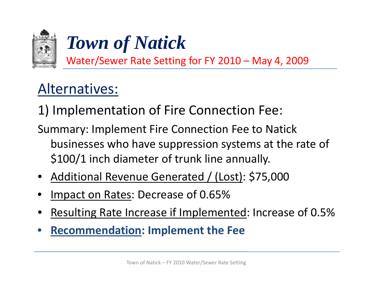

Water/Sewer Rate Setting for FY 2010 – May 4, 2009

### Alternatives:

1) Implementation of Fire Connection Fee:

Summary: Implement Fire Connection Fee to Natick businesses who have suppression systems at the rate of \$100/1 inch diameter of trunk line annually.

- •• Additional Revenue Generated / (Lost): \$75,000
- •Impact on Rates: Decrease of 0.65%
- •Resulting Rate Increase if Implemented: Increase of 0.5%
- $\bullet$ **Recommendation: Implement the Fee**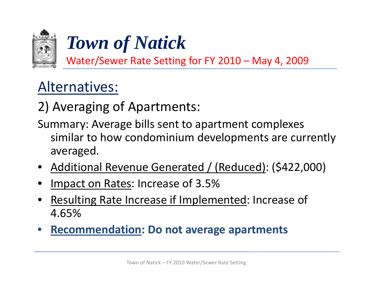

Water/Sewer Rate Setting for FY 2010 – May 4, 2009

### Alternatives:

2) Averaging of Apartments:

Summary: Average bills sent to apartment complexes similar to how condominium developments are currently averaged.

- Additional Revenue Generated / (Reduced): (\$422,000)
- •Impact on Rates: Increase of 3.5%
- •Resulting Rate Increase if Implemented: Increase of 4.65%
- •**Recommendation: Do not average apartments**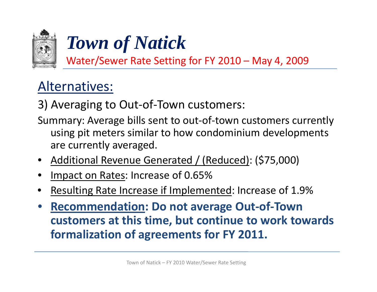

Water/Sewer Rate Setting for FY 2010 – May 4, 2009

### Alternatives:

3) Averaging to Out‐of‐Town customers:

- Summary: Average bills sent to out‐of‐town customers currently using pit meters similar to how condominium developments are currently averaged.
- •• Additional Revenue Generated / (Reduced): (\$75,000)
- •Impact on Rates: Increase of 0.65%
- •Resulting Rate Increase if Implemented: Increase of 1.9%
- $\bullet$  **Recommendation: Do not average Out‐of‐Town customers at this time, but continue to work towards formalization of agreements for FY 2011.**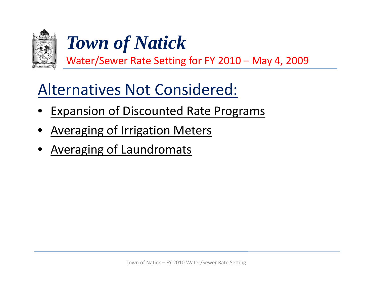

Water/Sewer Rate Setting for FY 2010 – May 4, 2009

### Alternatives Not Considered:

- •Expansion of Discounted Rate Programs
- •**Averaging of Irrigation Meters**
- •Averaging of Laundromats